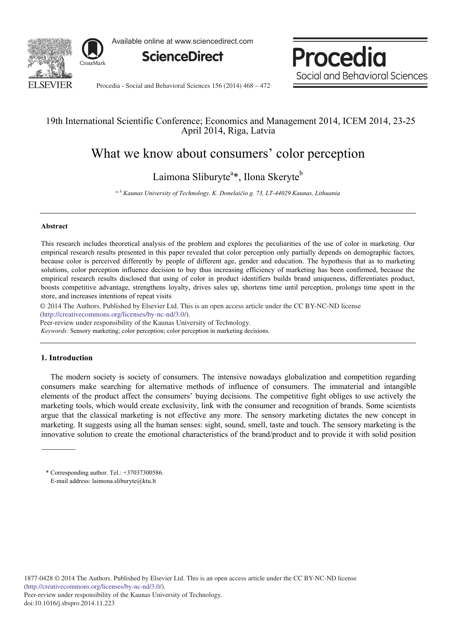

Available online at www.sciencedirect.com



Procedia Social and Behavioral Sciences

Procedia - Social and Behavioral Sciences 156 (2014) 468 - 472

### 19th International Scientific Conference; Economics and Management 2014, ICEM 2014, 23-25 April 2014, Riga, Latvia

# What we know about consumers' color perception

## Laimona Sliburyte<sup>a\*</sup>, Ilona Skeryte<sup>b</sup>

*a, b Kaunas University of Technology, K. Donelaiþio g. 73, LT-44029 Kaunas, Lithuania* 

#### **Abstract**

This research includes theoretical analysis of the problem and explores the peculiarities of the use of color in marketing. Our empirical research results presented in this paper revealed that color perception only partially depends on demographic factors, because color is perceived differently by people of different age, gender and education. The hypothesis that as to marketing solutions, color perception influence decision to buy thus increasing efficiency of marketing has been confirmed, because the empirical research results disclosed that using of color in product identifiers builds brand uniqueness, differentiates product, boosts competitive advantage, strengthens loyalty, drives sales up, shortens time until perception, prolongs time spent in the store, and increases intentions of repeat visits

© 2014 The Authors. Published by Elsevier Ltd. © 2014 The Authors. Published by Elsevier Ltd. This is an open access article under the CC BY-NC-ND license (http://creativecommons.org/licenses/by-nc-nd/3.0/).

Peer-review under responsibility of the Kaunas University of Technology.

*Keywords:* Sensory marketing; color perception; color perception in marketing decisions.

#### **1. Introduction**

The modern society is society of consumers. The intensive nowadays globalization and competition regarding consumers make searching for alternative methods of influence of consumers. The immaterial and intangible elements of the product affect the consumers' buying decisions. The competitive fight obliges to use actively the marketing tools, which would create exclusivity, link with the consumer and recognition of brands. Some scientists argue that the classical marketing is not effective any more. The sensory marketing dictates the new concept in marketing. It suggests using all the human senses: sight, sound, smell, taste and touch. The sensory marketing is the innovative solution to create the emotional characteristics of the brand/product and to provide it with solid position

<sup>\*</sup> Corresponding author. Tel.: +37037300586. E-mail address: laimona.sliburyte@ktu.lt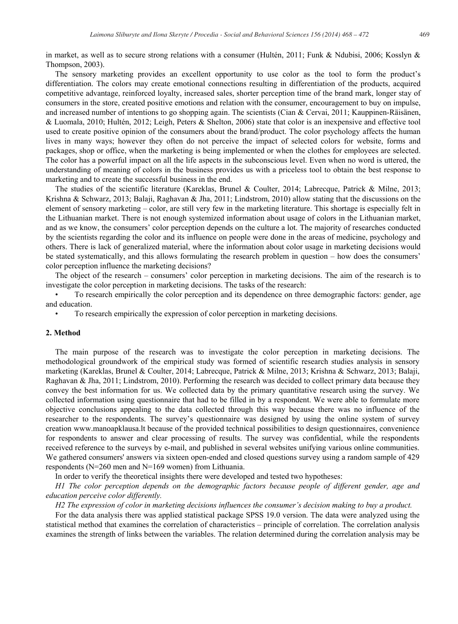in market, as well as to secure strong relations with a consumer (Hultén, 2011; Funk & Ndubisi, 2006; Kosslyn & Thompson, 2003).

The sensory marketing provides an excellent opportunity to use color as the tool to form the product's differentiation. The colors may create emotional connections resulting in differentiation of the products, acquired competitive advantage, reinforced loyalty, increased sales, shorter perception time of the brand mark, longer stay of consumers in the store, created positive emotions and relation with the consumer, encouragement to buy on impulse, and increased number of intentions to go shopping again. The scientists (Cian & Cervai, 2011; Kauppinen-Räisänen, & Luomala, 2010; Hultén, 2012; Leigh, Peters & Shelton, 2006) state that color is an inexpensive and effective tool used to create positive opinion of the consumers about the brand/product. The color psychology affects the human lives in many ways; however they often do not perceive the impact of selected colors for website, forms and packages, shop or office, when the marketing is being implemented or when the clothes for employees are selected. The color has a powerful impact on all the life aspects in the subconscious level. Even when no word is uttered, the understanding of meaning of colors in the business provides us with a priceless tool to obtain the best response to marketing and to create the successful business in the end.

The studies of the scientific literature (Kareklas, Brunel & Coulter, 2014; Labrecque, Patrick & Milne, 2013; Krishna & Schwarz, 2013; Balaji, Raghavan & Jha, 2011; Lindstrom, 2010) allow stating that the discussions on the element of sensory marketing – color, are still very few in the marketing literature. This shortage is especially felt in the Lithuanian market. There is not enough systemized information about usage of colors in the Lithuanian market, and as we know, the consumers' color perception depends on the culture a lot. The majority of researches conducted by the scientists regarding the color and its influence on people were done in the areas of medicine, psychology and others. There is lack of generalized material, where the information about color usage in marketing decisions would be stated systematically, and this allows formulating the research problem in question – how does the consumers' color perception influence the marketing decisions?

The object of the research – consumers' color perception in marketing decisions. The aim of the research is to investigate the color perception in marketing decisions. The tasks of the research:

To research empirically the color perception and its dependence on three demographic factors: gender, age and education.

To research empirically the expression of color perception in marketing decisions.

#### **2. Method**

The main purpose of the research was to investigate the color perception in marketing decisions. The methodological groundwork of the empirical study was formed of scientific research studies analysis in sensory marketing (Kareklas, Brunel & Coulter, 2014; Labrecque, Patrick & Milne, 2013; Krishna & Schwarz, 2013; Balaji, Raghavan & Jha, 2011; Lindstrom, 2010). Performing the research was decided to collect primary data because they convey the best information for us. We collected data by the primary quantitative research using the survey. We collected information using questionnaire that had to be filled in by a respondent. We were able to formulate more objective conclusions appealing to the data collected through this way because there was no influence of the researcher to the respondents. The survey's questionnaire was designed by using the online system of survey creation www.manoapklausa.lt because of the provided technical possibilities to design questionnaires, convenience for respondents to answer and clear processing of results. The survey was confidential, while the respondents received reference to the surveys by e-mail, and published in several websites unifying various online communities. We gathered consumers' answers via sixteen open-ended and closed questions survey using a random sample of 429 respondents (N=260 men and N=169 women) from Lithuania.

In order to verify the theoretical insights there were developed and tested two hypotheses:

*H1 The color perception depends on the demographic factors because people of different gender, age and education perceive color differently.* 

*H2 The expression of color in marketing decisions influences the consumer's decision making to buy a product.*  For the data analysis there was applied statistical package SPSS 19.0 version. The data were analyzed using the statistical method that examines the correlation of characteristics – principle of correlation. The correlation analysis examines the strength of links between the variables. The relation determined during the correlation analysis may be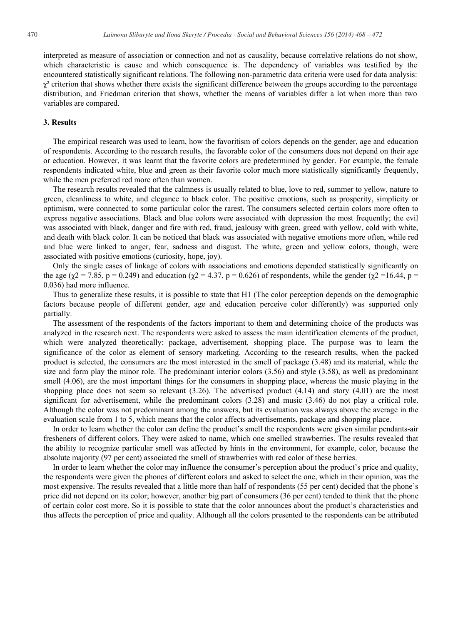interpreted as measure of association or connection and not as causality, because correlative relations do not show, which characteristic is cause and which consequence is. The dependency of variables was testified by the encountered statistically significant relations. The following non-parametric data criteria were used for data analysis:  $\gamma^2$  criterion that shows whether there exists the significant difference between the groups according to the percentage distribution, and Friedman criterion that shows, whether the means of variables differ a lot when more than two variables are compared.

#### **3. Results**

The empirical research was used to learn, how the favoritism of colors depends on the gender, age and education of respondents. According to the research results, the favorable color of the consumers does not depend on their age or education. However, it was learnt that the favorite colors are predetermined by gender. For example, the female respondents indicated white, blue and green as their favorite color much more statistically significantly frequently, while the men preferred red more often than women.

The research results revealed that the calmness is usually related to blue, love to red, summer to yellow, nature to green, cleanliness to white, and elegance to black color. The positive emotions, such as prosperity, simplicity or optimism, were connected to some particular color the rarest. The consumers selected certain colors more often to express negative associations. Black and blue colors were associated with depression the most frequently; the evil was associated with black, danger and fire with red, fraud, jealousy with green, greed with yellow, cold with white, and death with black color. It can be noticed that black was associated with negative emotions more often, while red and blue were linked to anger, fear, sadness and disgust. The white, green and yellow colors, though, were associated with positive emotions (curiosity, hope, joy).

Only the single cases of linkage of colors with associations and emotions depended statistically significantly on the age ( $\chi$ 2 = 7.85, p = 0.249) and education ( $\chi$ 2 = 4.37, p = 0.626) of respondents, while the gender ( $\chi$ 2 = 16.44, p = 0.036) had more influence.

Thus to generalize these results, it is possible to state that H1 (The color perception depends on the demographic factors because people of different gender, age and education perceive color differently) was supported only partially.

The assessment of the respondents of the factors important to them and determining choice of the products was analyzed in the research next. The respondents were asked to assess the main identification elements of the product, which were analyzed theoretically: package, advertisement, shopping place. The purpose was to learn the significance of the color as element of sensory marketing. According to the research results, when the packed product is selected, the consumers are the most interested in the smell of package (3.48) and its material, while the size and form play the minor role. The predominant interior colors (3.56) and style (3.58), as well as predominant smell (4.06), are the most important things for the consumers in shopping place, whereas the music playing in the shopping place does not seem so relevant  $(3.26)$ . The advertised product  $(4.14)$  and story  $(4.01)$  are the most significant for advertisement, while the predominant colors (3.28) and music (3.46) do not play a critical role. Although the color was not predominant among the answers, but its evaluation was always above the average in the evaluation scale from 1 to 5, which means that the color affects advertisements, package and shopping place.

In order to learn whether the color can define the product's smell the respondents were given similar pendants-air fresheners of different colors. They were asked to name, which one smelled strawberries. The results revealed that the ability to recognize particular smell was affected by hints in the environment, for example, color, because the absolute majority (97 per cent) associated the smell of strawberries with red color of these berries.

In order to learn whether the color may influence the consumer's perception about the product's price and quality, the respondents were given the phones of different colors and asked to select the one, which in their opinion, was the most expensive. The results revealed that a little more than half of respondents (55 per cent) decided that the phone's price did not depend on its color; however, another big part of consumers (36 per cent) tended to think that the phone of certain color cost more. So it is possible to state that the color announces about the product's characteristics and thus affects the perception of price and quality. Although all the colors presented to the respondents can be attributed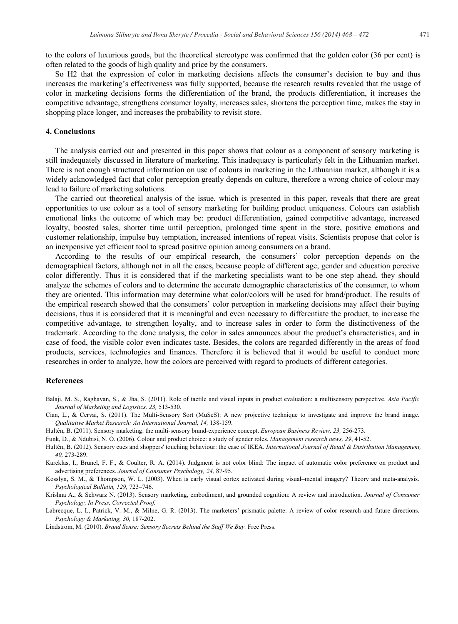to the colors of luxurious goods, but the theoretical stereotype was confirmed that the golden color (36 per cent) is often related to the goods of high quality and price by the consumers.

So H2 that the expression of color in marketing decisions affects the consumer's decision to buy and thus increases the marketing's effectiveness was fully supported, because the research results revealed that the usage of color in marketing decisions forms the differentiation of the brand, the products differentiation, it increases the competitive advantage, strengthens consumer loyalty, increases sales, shortens the perception time, makes the stay in shopping place longer, and increases the probability to revisit store.

#### **4. Conclusions**

The analysis carried out and presented in this paper shows that colour as a component of sensory marketing is still inadequately discussed in literature of marketing. This inadequacy is particularly felt in the Lithuanian market. There is not enough structured information on use of colours in marketing in the Lithuanian market, although it is a widely acknowledged fact that color perception greatly depends on culture, therefore a wrong choice of colour may lead to failure of marketing solutions.

The carried out theoretical analysis of the issue, which is presented in this paper, reveals that there are great opportunities to use colour as a tool of sensory marketing for building product uniqueness. Colours can establish emotional links the outcome of which may be: product differentiation, gained competitive advantage, increased loyalty, boosted sales, shorter time until perception, prolonged time spent in the store, positive emotions and customer relationship, impulse buy temptation, increased intentions of repeat visits. Scientists propose that color is an inexpensive yet efficient tool to spread positive opinion among consumers on a brand.

According to the results of our empirical research, the consumers' color perception depends on the demographical factors, although not in all the cases, because people of different age, gender and education perceive color differently. Thus it is considered that if the marketing specialists want to be one step ahead, they should analyze the schemes of colors and to determine the accurate demographic characteristics of the consumer, to whom they are oriented. This information may determine what color/colors will be used for brand/product. The results of the empirical research showed that the consumers' color perception in marketing decisions may affect their buying decisions, thus it is considered that it is meaningful and even necessary to differentiate the product, to increase the competitive advantage, to strengthen loyalty, and to increase sales in order to form the distinctiveness of the trademark. According to the done analysis, the color in sales announces about the product's characteristics, and in case of food, the visible color even indicates taste. Besides, the colors are regarded differently in the areas of food products, services, technologies and finances. Therefore it is believed that it would be useful to conduct more researches in order to analyze, how the colors are perceived with regard to products of different categories.

#### **References**

- Balaji, M. S., Raghavan, S., & Jha, S. (2011). Role of tactile and visual inputs in product evaluation: a multisensory perspective. *Asia Pacific Journal of Marketing and Logistics, 23,* 513-530.
- Cian, L., & Cervai, S. (2011). The Multi-Sensory Sort (MuSeS): A new projective technique to investigate and improve the brand image. *Qualitative Market Research: An International Journal, 14,* 138-159.
- Hultén, B. (2011). Sensory marketing: the multi-sensory brand-experience concept. *European Business Review, 23,* 256-273.
- Funk, D., & Ndubisi, N. O. (2006). Colour and product choice: a study of gender roles. *Management research news, 29*, 41-52.
- Hultén, B. (2012). Sensory cues and shoppers' touching behaviour: the case of IKEA. *International Journal of Retail & Distribution Management, 40,* 273-289.
- Kareklas, I., Brunel, F. F., & Coulter, R. A. (2014). Judgment is not color blind: The impact of automatic color preference on product and advertising preferences. *Journal of Consumer Psychology, 24,* 87-95.

Kosslyn, S. M., & Thompson, W. L. (2003). When is early visual cortex activated during visual–mental imagery? Theory and meta-analysis. *Psychological Bulletin, 129,* 723–746.

Krishna A., & Schwarz N. (2013). Sensory marketing, embodiment, and grounded cognition: A review and introduction. *Journal of Consumer Psychology, In Press, Corrected Proof.*

Labrecque, L. I., Patrick, V. M., & Milne, G. R. (2013). The marketers' prismatic palette: A review of color research and future directions. *Psychology & Marketing, 30,* 187-202.

Lindstrom, M. (2010). *Brand Sense: Sensory Secrets Behind the Stuff We Buy.* Free Press.